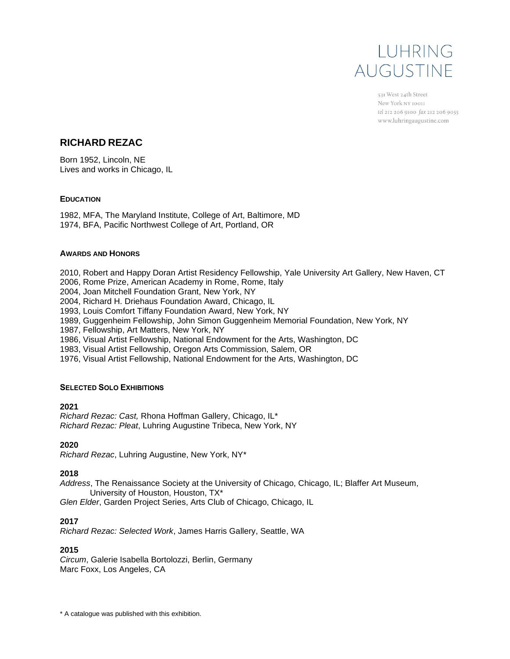

531 West 24th Street New York NY 10011 tel 212 206 9100 fax 212 206 9055 www.luhringaugustine.com

# **RICHARD REZAC**

Born 1952, Lincoln, NE Lives and works in Chicago, IL

# **EDUCATION**

1982, MFA, The Maryland Institute, College of Art, Baltimore, MD 1974, BFA, Pacific Northwest College of Art, Portland, OR

# **AWARDS AND HONORS**

2010, Robert and Happy Doran Artist Residency Fellowship, Yale University Art Gallery, New Haven, CT

2006, Rome Prize, American Academy in Rome, Rome, Italy

2004, Joan Mitchell Foundation Grant, New York, NY

2004, Richard H. Driehaus Foundation Award, Chicago, IL

1993, Louis Comfort Tiffany Foundation Award, New York, NY

1989, Guggenheim Fellowship, John Simon Guggenheim Memorial Foundation, New York, NY

1987, Fellowship, Art Matters, New York, NY

1986, Visual Artist Fellowship, National Endowment for the Arts, Washington, DC

1983, Visual Artist Fellowship, Oregon Arts Commission, Salem, OR

1976, Visual Artist Fellowship, National Endowment for the Arts, Washington, DC

### **SELECTED SOLO EXHIBITIONS**

### **2021**

*Richard Rezac: Cast,* Rhona Hoffman Gallery, Chicago, IL\* *Richard Rezac: Pleat*, Luhring Augustine Tribeca, New York, NY

### **2020**

*Richard Rezac*, Luhring Augustine, New York, NY\*

### **2018**

*Address*, The Renaissance Society at the University of Chicago, Chicago, IL; Blaffer Art Museum, University of Houston, Houston, TX\*

*Glen Elder*, Garden Project Series, Arts Club of Chicago, Chicago, IL

# **2017**

*Richard Rezac: Selected Work*, James Harris Gallery, Seattle, WA

# **2015**

*Circum*, Galerie Isabella Bortolozzi, Berlin, Germany Marc Foxx, Los Angeles, CA

\* A catalogue was published with this exhibition.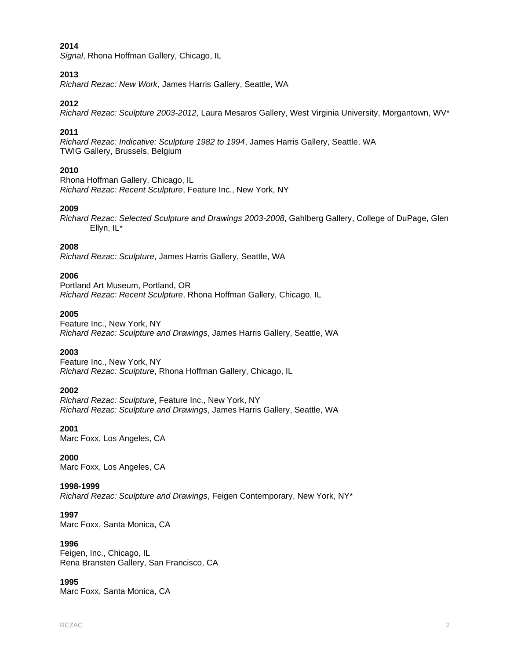*Signal*, Rhona Hoffman Gallery, Chicago, IL

### **2013**

*Richard Rezac: New Work*, James Harris Gallery, Seattle, WA

# **2012**

*Richard Rezac: Sculpture 2003-2012*, Laura Mesaros Gallery, West Virginia University, Morgantown, WV\*

# **2011**

*Richard Rezac: Indicative: Sculpture 1982 to 1994*, James Harris Gallery, Seattle, WA TWIG Gallery, Brussels, Belgium

# **2010**

Rhona Hoffman Gallery, Chicago, IL *Richard Rezac: Recent Sculpture*, Feature Inc., New York, NY

# **2009**

*Richard Rezac: Selected Sculpture and Drawings 2003-2008*, Gahlberg Gallery, College of DuPage, Glen Ellyn, IL\*

# **2008**

*Richard Rezac: Sculpture*, James Harris Gallery, Seattle, WA

# **2006**

Portland Art Museum, Portland, OR *Richard Rezac: Recent Sculpture*, Rhona Hoffman Gallery, Chicago, IL

# **2005**

Feature Inc., New York, NY *Richard Rezac: Sculpture and Drawings*, James Harris Gallery, Seattle, WA

# **2003**

Feature Inc., New York, NY *Richard Rezac: Sculpture*, Rhona Hoffman Gallery, Chicago, IL

### **2002**

*Richard Rezac: Sculpture*, Feature Inc., New York, NY *Richard Rezac: Sculpture and Drawings*, James Harris Gallery, Seattle, WA

### **2001**

Marc Foxx, Los Angeles, CA

### **2000**

Marc Foxx, Los Angeles, CA

### **1998-1999**

*Richard Rezac: Sculpture and Drawings*, Feigen Contemporary, New York, NY\*

### **1997**

Marc Foxx, Santa Monica, CA

### **1996**

Feigen, Inc., Chicago, IL Rena Bransten Gallery, San Francisco, CA

### **1995**

Marc Foxx, Santa Monica, CA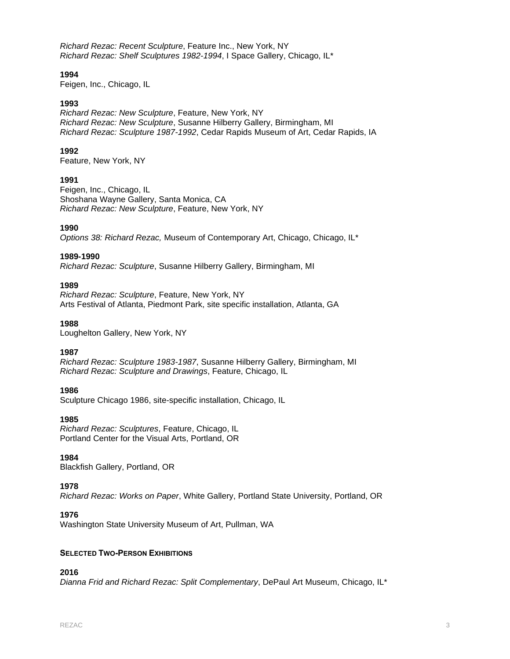*Richard Rezac: Recent Sculpture*, Feature Inc., New York, NY *Richard Rezac: Shelf Sculptures 1982-1994*, I Space Gallery, Chicago, IL\*

# **1994**

Feigen, Inc., Chicago, IL

### **1993**

*Richard Rezac: New Sculpture*, Feature, New York, NY *Richard Rezac: New Sculpture*, Susanne Hilberry Gallery, Birmingham, MI *Richard Rezac: Sculpture 1987-1992*, Cedar Rapids Museum of Art, Cedar Rapids, IA

# **1992**

Feature, New York, NY

# **1991**

Feigen, Inc., Chicago, IL Shoshana Wayne Gallery, Santa Monica, CA *Richard Rezac: New Sculpture*, Feature, New York, NY

### **1990**

*Options 38: Richard Rezac,* Museum of Contemporary Art, Chicago, Chicago, IL\*

### **1989-1990**

*Richard Rezac: Sculpture*, Susanne Hilberry Gallery, Birmingham, MI

# **1989**

*Richard Rezac: Sculpture*, Feature, New York, NY Arts Festival of Atlanta, Piedmont Park, site specific installation, Atlanta, GA

# **1988**

Loughelton Gallery, New York, NY

### **1987**

*Richard Rezac: Sculpture 1983-1987*, Susanne Hilberry Gallery, Birmingham, MI *Richard Rezac: Sculpture and Drawings*, Feature, Chicago, IL

### **1986**

Sculpture Chicago 1986, site-specific installation, Chicago, IL

### **1985**

*Richard Rezac: Sculptures*, Feature, Chicago, IL Portland Center for the Visual Arts, Portland, OR

### **1984**

Blackfish Gallery, Portland, OR

# **1978**

*Richard Rezac: Works on Paper*, White Gallery, Portland State University, Portland, OR

### **1976**

Washington State University Museum of Art, Pullman, WA

### **SELECTED TWO-PERSON EXHIBITIONS**

# **2016**

*Dianna Frid and Richard Rezac: Split Complementary*, DePaul Art Museum, Chicago, IL\*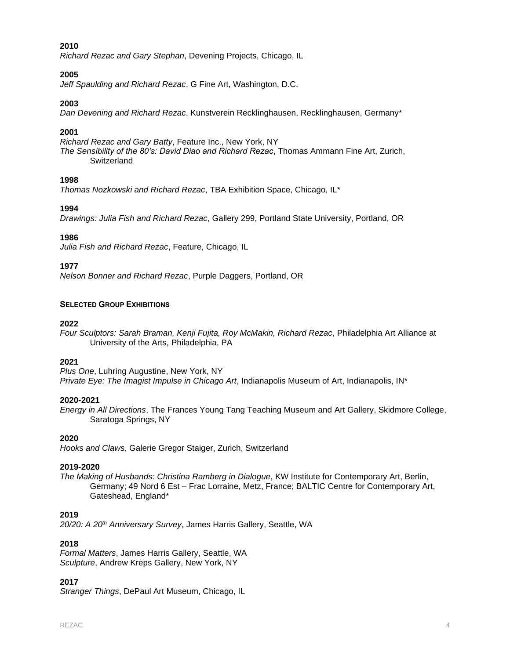*Richard Rezac and Gary Stephan*, Devening Projects, Chicago, IL

# **2005**

*Jeff Spaulding and Richard Rezac*, G Fine Art, Washington, D.C.

# **2003**

*Dan Devening and Richard Rezac*, Kunstverein Recklinghausen, Recklinghausen, Germany\*

# **2001**

*Richard Rezac and Gary Batty*, Feature Inc., New York, NY *The Sensibility of the 80's: David Diao and Richard Rezac*, Thomas Ammann Fine Art, Zurich, **Switzerland** 

# **1998**

*Thomas Nozkowski and Richard Rezac*, TBA Exhibition Space, Chicago, IL\*

# **1994**

*Drawings: Julia Fish and Richard Rezac*, Gallery 299, Portland State University, Portland, OR

# **1986**

*Julia Fish and Richard Rezac*, Feature, Chicago, IL

# **1977**

*Nelson Bonner and Richard Rezac*, Purple Daggers, Portland, OR

### **SELECTED GROUP EXHIBITIONS**

### **2022**

*Four Sculptors: Sarah Braman, Kenji Fujita, Roy McMakin, Richard Rezac*, Philadelphia Art Alliance at University of the Arts, Philadelphia, PA

### **2021**

*Plus One*, Luhring Augustine, New York, NY *Private Eye: The Imagist Impulse in Chicago Art*, Indianapolis Museum of Art, Indianapolis, IN\*

### **2020-2021**

*Energy in All Directions*, The Frances Young Tang Teaching Museum and Art Gallery, Skidmore College, Saratoga Springs, NY

### **2020**

*Hooks and Claws*, Galerie Gregor Staiger, Zurich, Switzerland

### **2019-2020**

*The Making of Husbands: Christina Ramberg in Dialogue*, KW Institute for Contemporary Art, Berlin, Germany; 49 Nord 6 Est – Frac Lorraine, Metz, France; BALTIC Centre for Contemporary Art, Gateshead, England\*

# **2019**

*20/20: A 20th Anniversary Survey*, James Harris Gallery, Seattle, WA

### **2018**

*Formal Matters*, James Harris Gallery, Seattle, WA *Sculpture*, Andrew Kreps Gallery, New York, NY

### **2017**

*Stranger Things*, DePaul Art Museum, Chicago, IL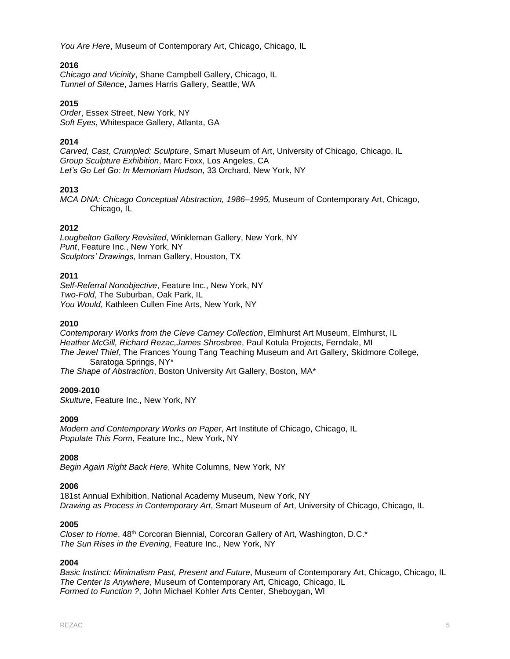*You Are Here*, Museum of Contemporary Art, Chicago, Chicago, IL

# **2016**

*Chicago and Vicinity*, Shane Campbell Gallery, Chicago, IL *Tunnel of Silence*, James Harris Gallery, Seattle, WA

# **2015**

*Order*, Essex Street, New York, NY *Soft Eyes*, Whitespace Gallery, Atlanta, GA

# **2014**

*Carved, Cast, Crumpled: Sculpture*, Smart Museum of Art, University of Chicago, Chicago, IL *Group Sculpture Exhibition*, Marc Foxx, Los Angeles, CA *Let's Go Let Go: In Memoriam Hudson*, 33 Orchard, New York, NY

# **2013**

*MCA DNA: Chicago Conceptual Abstraction, 1986–1995,* Museum of Contemporary Art, Chicago, Chicago, IL

# **2012**

*Loughelton Gallery Revisited*, Winkleman Gallery, New York, NY *Punt*, Feature Inc., New York, NY *Sculptors' Drawings*, Inman Gallery, Houston, TX

# **2011**

*Self-Referral Nonobjective*, Feature Inc., New York, NY *Two-Fold*, The Suburban, Oak Park, IL *You Would*, Kathleen Cullen Fine Arts, New York, NY

### **2010**

*Contemporary Works from the Cleve Carney Collection*, Elmhurst Art Museum, Elmhurst, IL *Heather McGill, Richard Rezac,James Shrosbree*, Paul Kotula Projects, Ferndale, MI *The Jewel Thief*, The Frances Young Tang Teaching Museum and Art Gallery, Skidmore College, Saratoga Springs, NY\*

*The Shape of Abstraction*, Boston University Art Gallery, Boston, MA\*

### **2009-2010**

*Skulture*, Feature Inc., New York, NY

### **2009**

*Modern and Contemporary Works on Paper*, Art Institute of Chicago, Chicago, IL *Populate This Form*, Feature Inc., New York, NY

### **2008**

*Begin Again Right Back Here*, White Columns, New York, NY

# **2006**

181st Annual Exhibition, National Academy Museum, New York, NY *Drawing as Process in Contemporary Art*, Smart Museum of Art, University of Chicago, Chicago, IL

### **2005**

*Closer to Home*, 48th Corcoran Biennial, Corcoran Gallery of Art, Washington, D.C.\* *The Sun Rises in the Evening*, Feature Inc., New York, NY

### **2004**

*Basic Instinct: Minimalism Past, Present and Future*, Museum of Contemporary Art, Chicago, Chicago, IL *The Center Is Anywhere*, Museum of Contemporary Art, Chicago, Chicago, IL *Formed to Function ?*, John Michael Kohler Arts Center, Sheboygan, WI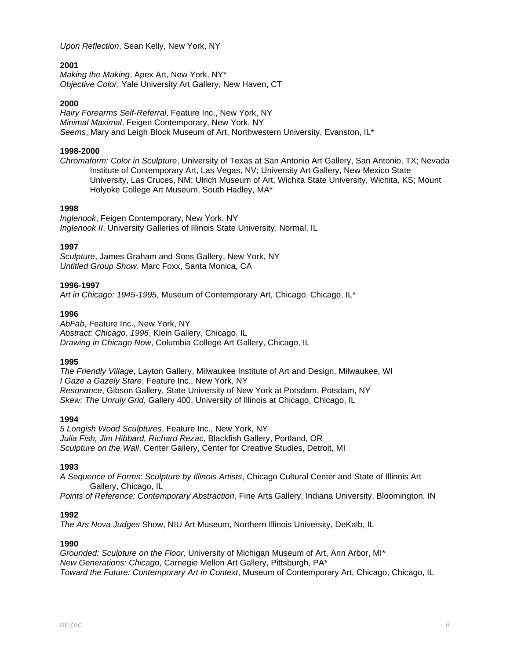*Upon Reflection*, Sean Kelly, New York, NY

# **2001**

*Making the Making*, Apex Art, New York, NY\* *Objective Color*, Yale University Art Gallery, New Haven, CT

# **2000**

*Hairy Forearms Self-Referral*, Feature Inc., New York, NY *Minimal Maximal*, Feigen Contemporary, New York, NY *Seems*, Mary and Leigh Block Museum of Art, Northwestern University, Evanston, IL\*

# **1998-2000**

*Chromaform: Color in Sculpture*, University of Texas at San Antonio Art Gallery, San Antonio, TX; Nevada Institute of Contemporary Art, Las Vegas, NV; University Art Gallery, New Mexico State University, Las Cruces, NM; Ulrich Museum of Art, Wichita State University, Wichita, KS; Mount Holyoke College Art Museum, South Hadley, MA\*

# **1998**

*Inglenook*, Feigen Contemporary, New York, NY *Inglenook II*, University Galleries of Illinois State University, Normal, IL

# **1997**

*Sculpture*, James Graham and Sons Gallery, New York, NY *Untitled Group Show*, Marc Foxx, Santa Monica, CA

# **1996-1997**

*Art in Chicago: 1945-1995*, Museum of Contemporary Art, Chicago, Chicago, IL\*

# **1996**

*AbFab*, Feature Inc., New York, NY *Abstract: Chicago, 1996*, Klein Gallery, Chicago, IL *Drawing in Chicago Now*, Columbia College Art Gallery, Chicago, IL

### **1995**

*The Friendly Village*, Layton Gallery, Milwaukee Institute of Art and Design, Milwaukee, WI *I Gaze a Gazely Stare*, Feature Inc., New York, NY *Resonance*, Gibson Gallery, State University of New York at Potsdam, Potsdam, NY *Skew: The Unruly Grid*, Gallery 400, University of Illinois at Chicago, Chicago, IL

### **1994**

*5 Longish Wood Sculptures*, Feature Inc., New York, NY *Julia Fish, Jim Hibbard, Richard Rezac,* Blackfish Gallery, Portland, OR *Sculpture on the Wall*, Center Gallery, Center for Creative Studies, Detroit, MI

# **1993**

*A Sequence of Forms: Sculpture by Illinois Artists*, Chicago Cultural Center and State of Illinois Art Gallery, Chicago, IL

*Points of Reference: Contemporary Abstraction*, Fine Arts Gallery, Indiana University, Bloomington, IN

# **1992**

*The Ars Nova Judges* Show, NIU Art Museum, Northern Illinois University, DeKalb, IL

# **1990**

*Grounded: Sculpture on the Floor*, University of Michigan Museum of Art, Ann Arbor, MI\* *New Generations: Chicago*, Carnegie Mellon Art Gallery, Pittsburgh, PA\* *Toward the Future: Contemporary Art in Context*, Museum of Contemporary Art, Chicago, Chicago, IL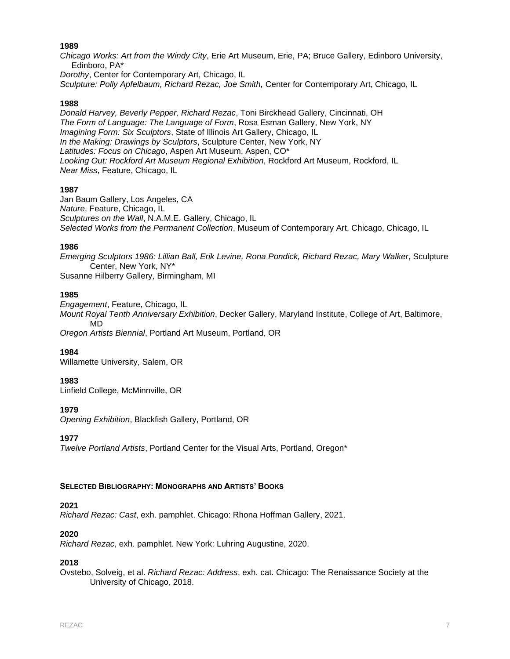*Chicago Works: Art from the Windy City*, Erie Art Museum, Erie, PA; Bruce Gallery, Edinboro University, Edinboro, PA\*

*Dorothy*, Center for Contemporary Art, Chicago, IL *Sculpture: Polly Apfelbaum, Richard Rezac, Joe Smith,* Center for Contemporary Art, Chicago, IL

### **1988**

*Donald Harvey, Beverly Pepper, Richard Rezac*, Toni Birckhead Gallery, Cincinnati, OH *The Form of Language: The Language of Form*, Rosa Esman Gallery, New York, NY *Imagining Form: Six Sculptors*, State of Illinois Art Gallery, Chicago, IL *In the Making: Drawings by Sculptors*, Sculpture Center, New York, NY *Latitudes: Focus on Chicago*, Aspen Art Museum, Aspen, CO\* *Looking Out: Rockford Art Museum Regional Exhibition*, Rockford Art Museum, Rockford, IL *Near Miss*, Feature, Chicago, IL

# **1987**

Jan Baum Gallery, Los Angeles, CA *Nature*, Feature, Chicago, IL *Sculptures on the Wall*, N.A.M.E. Gallery, Chicago, IL *Selected Works from the Permanent Collection*, Museum of Contemporary Art, Chicago, Chicago, IL

# **1986**

*Emerging Sculptors 1986: Lillian Ball, Erik Levine, Rona Pondick, Richard Rezac, Mary Walker*, Sculpture Center, New York, NY\* Susanne Hilberry Gallery, Birmingham, MI

# **1985**

*Engagement*, Feature, Chicago, IL *Mount Royal Tenth Anniversary Exhibition*, Decker Gallery, Maryland Institute, College of Art, Baltimore, MD *Oregon Artists Biennial*, Portland Art Museum, Portland, OR

# **1984**

Willamette University, Salem, OR

### **1983**

Linfield College, McMinnville, OR

# **1979**

*Opening Exhibition*, Blackfish Gallery, Portland, OR

**1977** 

*Twelve Portland Artists*, Portland Center for the Visual Arts, Portland, Oregon\*

### **SELECTED BIBLIOGRAPHY: MONOGRAPHS AND ARTISTS' BOOKS**

### **2021**

*Richard Rezac: Cast*, exh. pamphlet. Chicago: Rhona Hoffman Gallery, 2021.

# **2020**

*Richard Rezac*, exh. pamphlet. New York: Luhring Augustine, 2020.

# **2018**

Ovstebo, Solveig, et al. *Richard Rezac: Address*, exh. cat. Chicago: The Renaissance Society at the University of Chicago, 2018.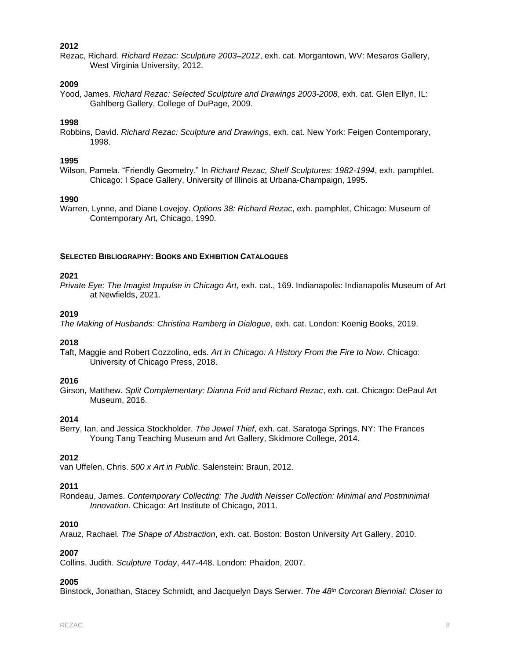Rezac, Richard. *Richard Rezac: Sculpture 2003–2012*, exh. cat. Morgantown, WV: Mesaros Gallery, West Virginia University, 2012.

# **2009**

Yood, James. *Richard Rezac: Selected Sculpture and Drawings 2003-2008*, exh. cat. Glen Ellyn, IL: Gahlberg Gallery, College of DuPage, 2009.

# **1998**

Robbins, David. *Richard Rezac: Sculpture and Drawings*, exh. cat. New York: Feigen Contemporary, 1998.

### **1995**

Wilson, Pamela. "Friendly Geometry." In *Richard Rezac, Shelf Sculptures: 1982-1994*, exh. pamphlet. Chicago: I Space Gallery, University of Illinois at Urbana-Champaign, 1995.

# **1990**

Warren, Lynne, and Diane Lovejoy. *Options 38: Richard Rezac*, exh. pamphlet, Chicago: Museum of Contemporary Art, Chicago, 1990.

# **SELECTED BIBLIOGRAPHY: BOOKS AND EXHIBITION CATALOGUES**

# **2021**

*Private Eye: The Imagist Impulse in Chicago Art,* exh. cat., 169. Indianapolis: Indianapolis Museum of Art at Newfields, 2021.

# **2019**

*The Making of Husbands: Christina Ramberg in Dialogue*, exh. cat. London: Koenig Books, 2019.

### **2018**

Taft, Maggie and Robert Cozzolino, eds. *Art in Chicago: A History From the Fire to Now*. Chicago: University of Chicago Press, 2018.

### **2016**

Girson, Matthew. *Split Complementary: Dianna Frid and Richard Rezac*, exh. cat. Chicago: DePaul Art Museum, 2016.

# **2014**

Berry, Ian, and Jessica Stockholder. *The Jewel Thief*, exh. cat. Saratoga Springs, NY: The Frances Young Tang Teaching Museum and Art Gallery, Skidmore College, 2014.

# **2012**

van Uffelen, Chris. *500 x Art in Public*. Salenstein: Braun, 2012.

# **2011**

Rondeau, James. *Contemporary Collecting: The Judith Neisser Collection: Minimal and Postminimal Innovation*. Chicago: Art Institute of Chicago, 2011.

# **2010**

Arauz, Rachael. *The Shape of Abstraction*, exh. cat. Boston: Boston University Art Gallery, 2010.

### **2007**

Collins, Judith. *Sculpture Today*, 447-448. London: Phaidon, 2007.

### **2005**

Binstock, Jonathan, Stacey Schmidt, and Jacquelyn Days Serwer. *The 48th Corcoran Biennial: Closer to*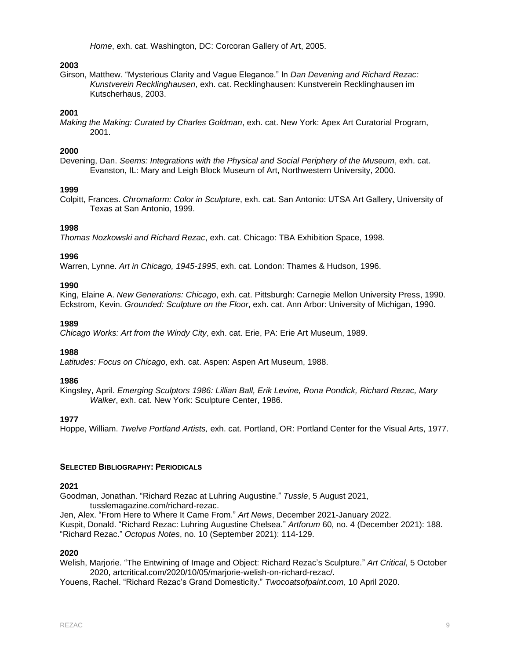*Home*, exh. cat. Washington, DC: Corcoran Gallery of Art, 2005.

# **2003**

Girson, Matthew. "Mysterious Clarity and Vague Elegance." In *Dan Devening and Richard Rezac: Kunstverein Recklinghausen*, exh. cat. Recklinghausen: Kunstverein Recklinghausen im Kutscherhaus, 2003.

### **2001**

*Making the Making: Curated by Charles Goldman*, exh. cat. New York: Apex Art Curatorial Program, 2001.

### **2000**

Devening, Dan. *Seems: Integrations with the Physical and Social Periphery of the Museum*, exh. cat. Evanston, IL: Mary and Leigh Block Museum of Art, Northwestern University, 2000.

#### **1999**

Colpitt, Frances. *Chromaform: Color in Sculpture*, exh. cat. San Antonio: UTSA Art Gallery, University of Texas at San Antonio, 1999.

#### **1998**

*Thomas Nozkowski and Richard Rezac*, exh. cat. Chicago: TBA Exhibition Space, 1998.

#### **1996**

Warren, Lynne. *Art in Chicago, 1945-1995*, exh. cat. London: Thames & Hudson, 1996.

#### **1990**

King, Elaine A. *New Generations: Chicago*, exh. cat. Pittsburgh: Carnegie Mellon University Press, 1990. Eckstrom, Kevin. *Grounded: Sculpture on the Floor*, exh. cat. Ann Arbor: University of Michigan, 1990.

#### **1989**

*Chicago Works: Art from the Windy City*, exh. cat. Erie, PA: Erie Art Museum, 1989.

#### **1988**

*Latitudes: Focus on Chicago*, exh. cat. Aspen: Aspen Art Museum, 1988.

#### **1986**

Kingsley, April. *Emerging Sculptors 1986: Lillian Ball, Erik Levine, Rona Pondick, Richard Rezac, Mary Walker*, exh. cat. New York: Sculpture Center, 1986.

#### **1977**

Hoppe, William. *Twelve Portland Artists,* exh. cat. Portland, OR: Portland Center for the Visual Arts, 1977.

### **SELECTED BIBLIOGRAPHY: PERIODICALS**

#### **2021**

Goodman, Jonathan. "Richard Rezac at Luhring Augustine." *Tussle*, 5 August 2021,

[tusslemagazine.com/richard-rezac.](https://www.tusslemagazine.com/richard-rezac) Jen, Alex. "From Here to Where It Came From." *Art News*, December 2021-January 2022. Kuspit, Donald. "Richard Rezac: Luhring Augustine Chelsea." *Artforum* 60, no. 4 (December 2021): 188. "Richard Rezac." *Octopus Notes*, no. 10 (September 2021): 114-129.

#### **2020**

Welish, Marjorie. "The Entwining of Image and Object: Richard Rezac's Sculpture." *Art Critical*, 5 October 2020, artcritical.com/2020/10/05/marjorie-welish-on-richard-rezac/.

Youens, Rachel. "Richard Rezac's Grand Domesticity." *Twocoatsofpaint.com*, 10 April 2020.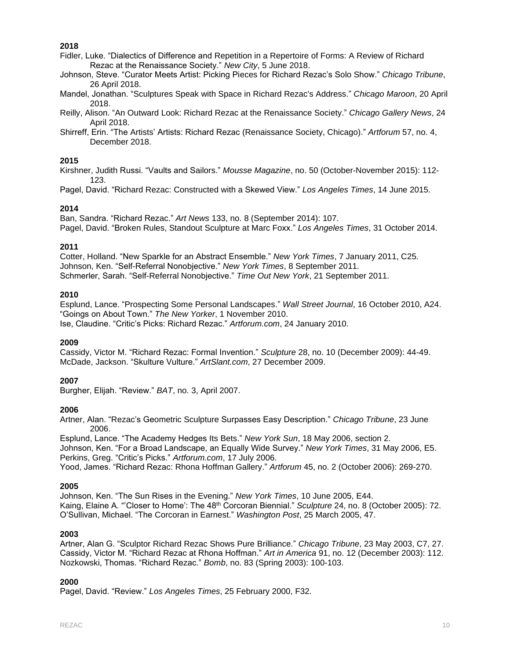Fidler, Luke. "Dialectics of Difference and Repetition in a Repertoire of Forms: A Review of Richard Rezac at the Renaissance Society." *New City*, 5 June 2018.

Johnson, Steve. "Curator Meets Artist: Picking Pieces for Richard Rezac's Solo Show." *Chicago Tribune*, 26 April 2018.

Mandel, Jonathan. "Sculptures Speak with Space in Richard Rezac's Address." *Chicago Maroon*, 20 April 2018.

Reilly, Alison. "An Outward Look: Richard Rezac at the Renaissance Society." *Chicago Gallery News*, 24 April 2018.

Shirreff, Erin. "The Artists' Artists: Richard Rezac (Renaissance Society, Chicago)." *Artforum* 57, no. 4, December 2018.

### **2015**

Kirshner, Judith Russi. "Vaults and Sailors." *Mousse Magazine*, no. 50 (October-November 2015): 112- 123.

Pagel, David. "Richard Rezac: Constructed with a Skewed View." *Los Angeles Times*, 14 June 2015.

# **2014**

Ban, Sandra. "Richard Rezac." *Art News* 133, no. 8 (September 2014): 107. Pagel, David. "Broken Rules, Standout Sculpture at Marc Foxx." *Los Angeles Times*, 31 October 2014.

# **2011**

Cotter, Holland. "New Sparkle for an Abstract Ensemble." *New York Times*, 7 January 2011, C25. Johnson, Ken. "Self-Referral Nonobjective." *New York Times*, 8 September 2011. Schmerler, Sarah. "Self-Referral Nonobjective." *Time Out New York*, 21 September 2011.

# **2010**

Esplund, Lance. "Prospecting Some Personal Landscapes." *Wall Street Journal*, 16 October 2010, A24. "Goings on About Town." *The New Yorker*, 1 November 2010. Ise, Claudine. "Critic's Picks: Richard Rezac." *Artforum.com*, 24 January 2010.

### **2009**

Cassidy, Victor M. "Richard Rezac: Formal Invention." *Sculpture* 28, no. 10 (December 2009): 44-49. McDade, Jackson. "Skulture Vulture." *ArtSlant.com*, 27 December 2009.

### **2007**

Burgher, Elijah. "Review." *BAT*, no. 3, April 2007.

### **2006**

Artner, Alan. "Rezac's Geometric Sculpture Surpasses Easy Description." *Chicago Tribune*, 23 June 2006.

Esplund, Lance. "The Academy Hedges Its Bets." *New York Sun*, 18 May 2006, section 2. Johnson, Ken. "For a Broad Landscape, an Equally Wide Survey." *New York Times*, 31 May 2006, E5. Perkins, Greg. "Critic's Picks." *Artforum.com*, 17 July 2006.

# Yood, James. "Richard Rezac: Rhona Hoffman Gallery." *Artforum* 45, no. 2 (October 2006): 269-270.

# **2005**

Johnson, Ken. "The Sun Rises in the Evening." *New York Times*, 10 June 2005, E44. Kaing, Elaine A. "'Closer to Home': The 48th Corcoran Biennial." *Sculpture* 24, no. 8 (October 2005): 72. O'Sullivan, Michael. "The Corcoran in Earnest." *Washington Post*, 25 March 2005, 47.

### **2003**

Artner, Alan G. "Sculptor Richard Rezac Shows Pure Brilliance." *Chicago Tribune*, 23 May 2003, C7, 27. Cassidy, Victor M. "Richard Rezac at Rhona Hoffman." *Art in America* 91, no. 12 (December 2003): 112. Nozkowski, Thomas. "Richard Rezac." *Bomb*, no. 83 (Spring 2003): 100-103.

### **2000**

Pagel, David. "Review." *Los Angeles Times*, 25 February 2000, F32.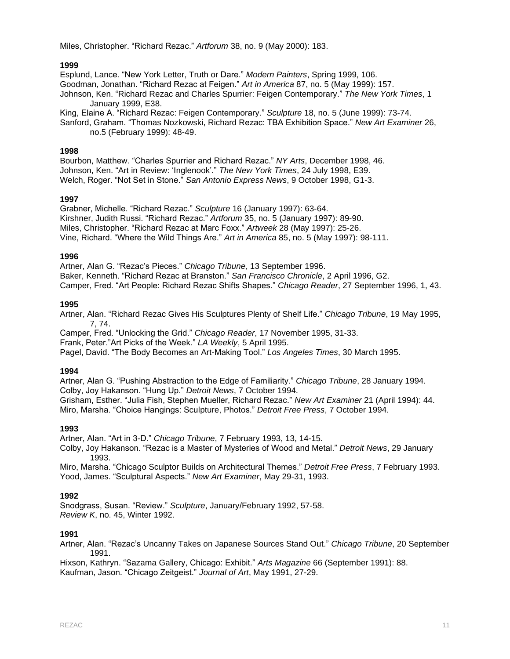Miles, Christopher. "Richard Rezac." *Artforum* 38, no. 9 (May 2000): 183.

# **1999**

Esplund, Lance. "New York Letter, Truth or Dare." *Modern Painters*, Spring 1999, 106. Goodman, Jonathan. "Richard Rezac at Feigen." *Art in America* 87, no. 5 (May 1999): 157. Johnson, Ken. "Richard Rezac and Charles Spurrier: Feigen Contemporary." *The New York Times*, 1 January 1999, E38.

King, Elaine A. "Richard Rezac: Feigen Contemporary." *Sculpture* 18, no. 5 (June 1999): 73-74. Sanford, Graham. "Thomas Nozkowski, Richard Rezac: TBA Exhibition Space." *New Art Examiner* 26,

no.5 (February 1999): 48-49.

# **1998**

Bourbon, Matthew. "Charles Spurrier and Richard Rezac." *NY Arts*, December 1998, 46. Johnson, Ken. "Art in Review: 'Inglenook'." *The New York Times*, 24 July 1998, E39. Welch, Roger. "Not Set in Stone." *San Antonio Express News*, 9 October 1998, G1-3.

# **1997**

Grabner, Michelle. "Richard Rezac." *Sculpture* 16 (January 1997): 63-64. Kirshner, Judith Russi. "Richard Rezac." *Artforum* 35, no. 5 (January 1997): 89-90. Miles, Christopher. "Richard Rezac at Marc Foxx." *Artweek* 28 (May 1997): 25-26. Vine, Richard. "Where the Wild Things Are." *Art in America* 85, no. 5 (May 1997): 98-111.

### **1996**

Artner, Alan G. "Rezac's Pieces." *Chicago Tribune*, 13 September 1996. Baker, Kenneth. "Richard Rezac at Branston." *San Francisco Chronicle*, 2 April 1996, G2. Camper, Fred. "Art People: Richard Rezac Shifts Shapes." *Chicago Reader*, 27 September 1996, 1, 43.

# **1995**

Artner, Alan. "Richard Rezac Gives His Sculptures Plenty of Shelf Life." *Chicago Tribune*, 19 May 1995, 7, 74.

Camper, Fred. "Unlocking the Grid." *Chicago Reader*, 17 November 1995, 31-33.

Frank, Peter."Art Picks of the Week." *LA Weekly*, 5 April 1995.

Pagel, David. "The Body Becomes an Art-Making Tool." *Los Angeles Times*, 30 March 1995.

# **1994**

Artner, Alan G. "Pushing Abstraction to the Edge of Familiarity." *Chicago Tribune*, 28 January 1994. Colby, Joy Hakanson. "Hung Up." *Detroit News*, 7 October 1994. Grisham, Esther. "Julia Fish, Stephen Mueller, Richard Rezac." *New Art Examiner* 21 (April 1994): 44. Miro, Marsha. "Choice Hangings: Sculpture, Photos." *Detroit Free Press*, 7 October 1994.

### **1993**

Artner, Alan. "Art in 3-D." *Chicago Tribune*, 7 February 1993, 13, 14-15.

Colby, Joy Hakanson. "Rezac is a Master of Mysteries of Wood and Metal." *Detroit News*, 29 January 1993.

Miro, Marsha. "Chicago Sculptor Builds on Architectural Themes." *Detroit Free Press*, 7 February 1993. Yood, James. "Sculptural Aspects." *New Art Examiner*, May 29-31, 1993.

# **1992**

Snodgrass, Susan. "Review." *Sculpture*, January/February 1992, 57-58. *Review K*, no. 45, Winter 1992.

### **1991**

Artner, Alan. "Rezac's Uncanny Takes on Japanese Sources Stand Out." *Chicago Tribune*, 20 September 1991.

Hixson, Kathryn. "Sazama Gallery, Chicago: Exhibit." *Arts Magazine* 66 (September 1991): 88. Kaufman, Jason. "Chicago Zeitgeist." *Journal of Art*, May 1991, 27-29.